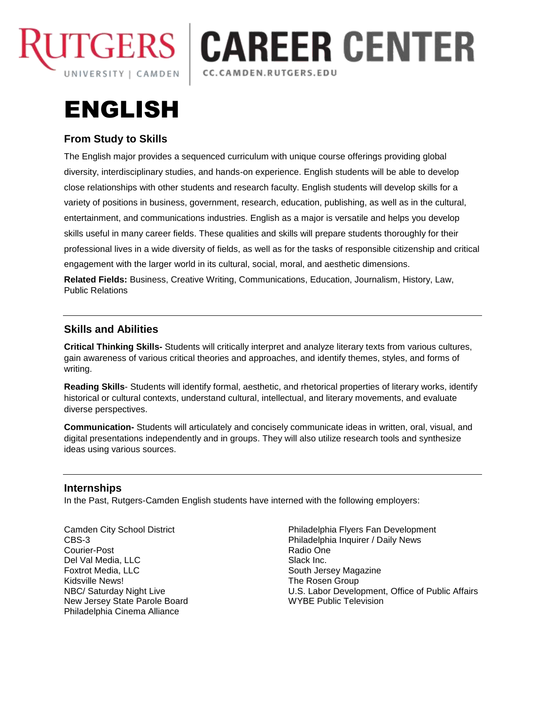

## **CAREER CENTER** CC.CAMDEN.RUTGERS.EDU

# ENGLISH

## **From Study to Skills**

The English major provides a sequenced curriculum with unique course offerings providing global diversity, interdisciplinary studies, and hands-on experience. English students will be able to develop close relationships with other students and research faculty. English students will develop skills for a variety of positions in business, government, research, education, publishing, as well as in the cultural, entertainment, and communications industries. English as a major is versatile and helps you develop skills useful in many career fields. These qualities and skills will prepare students thoroughly for their professional lives in a wide diversity of fields, as well as for the tasks of responsible citizenship and critical engagement with the larger world in its cultural, social, moral, and aesthetic dimensions.

**Related Fields:** Business, Creative Writing, Communications, Education, Journalism, History, Law, Public Relations

### **Skills and Abilities**

**Critical Thinking Skills-** Students will critically interpret and analyze literary texts from various cultures, gain awareness of various critical theories and approaches, and identify themes, styles, and forms of writing.

**Reading Skills**- Students will identify formal, aesthetic, and rhetorical properties of literary works, identify historical or cultural contexts, understand cultural, intellectual, and literary movements, and evaluate diverse perspectives.

**Communication-** Students will articulately and concisely communicate ideas in written, oral, visual, and digital presentations independently and in groups. They will also utilize research tools and synthesize ideas using various sources.

#### **Internships**

In the Past, Rutgers-Camden English students have interned with the following employers:

Camden City School District CBS-3 Courier-Post Del Val Media, LLC Foxtrot Media, LLC Kidsville News! NBC/ Saturday Night Live New Jersey State Parole Board Philadelphia Cinema Alliance

Philadelphia Flyers Fan Development Philadelphia Inquirer / Daily News Radio One Slack Inc. South Jersey Magazine The Rosen Group U.S. Labor Development, Office of Public Affairs WYBE Public Television